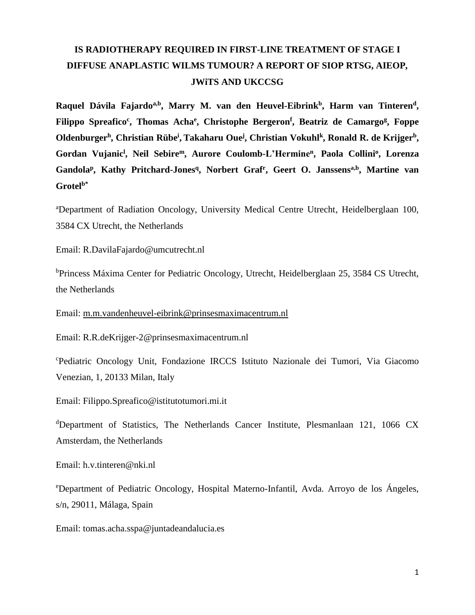# **IS RADIOTHERAPY REQUIRED IN FIRST-LINE TREATMENT OF STAGE I DIFFUSE ANAPLASTIC WILMS TUMOUR? A REPORT OF SIOP RTSG, AIEOP, JWiTS AND UKCCSG**

**Raquel Dávila Fajardoa,b, Marry M. van den Heuvel-Eibrink<sup>b</sup> , Harm van Tinteren<sup>d</sup> , Filippo Spreafico<sup>c</sup> , Thomas Acha<sup>e</sup> , Christophe Bergeron<sup>f</sup> , Beatriz de Camargo<sup>g</sup> , Foppe Oldenburger<sup>h</sup> , Christian Rübe<sup>i</sup> , Takaharu Oue<sup>j</sup> , Christian Vokuhl<sup>k</sup> , Ronald R. de Krijger<sup>b</sup> , Gordan Vujanic<sup>l</sup> , Neil Sebire<sup>m</sup>, Aurore Coulomb-L'Hermine<sup>n</sup> , Paola Collini<sup>o</sup> , Lorenza Gandola<sup>p</sup> , Kathy Pritchard-Jones<sup>q</sup> , Norbert Graf<sup>r</sup> , Geert O. Janssensa,b, Martine van Grotelb\***

<sup>a</sup>Department of Radiation Oncology, University Medical Centre Utrecht, Heidelberglaan 100, 3584 CX Utrecht, the Netherlands

Email: R.DavilaFajardo@umcutrecht.nl

<sup>b</sup>Princess Máxima Center for Pediatric Oncology, Utrecht, Heidelberglaan 25, 3584 CS Utrecht, the Netherlands

Email: [m.m.vandenheuvel-eibrink@prinsesmaximacentrum.nl](mailto:m.m.vandenheuvel-eibrink@prinsesmaximacentrum.nl)

Email: R.R.deKrijger-2@prinsesmaximacentrum.nl

<sup>c</sup>Pediatric Oncology Unit, Fondazione IRCCS Istituto Nazionale dei Tumori, Via Giacomo Venezian, 1, 20133 Milan, Italy

Email: Filippo.Spreafico@istitutotumori.mi.it

<sup>d</sup>Department of Statistics, The Netherlands Cancer Institute, Plesmanlaan 121, 1066 CX Amsterdam, the Netherlands

Email: h.v.tinteren@nki.nl

<sup>e</sup>Department of Pediatric Oncology, Hospital Materno-Infantil, Avda. Arroyo de los Ángeles, s/n, 29011, Málaga, Spain

Email: tomas.acha.sspa@juntadeandalucia.es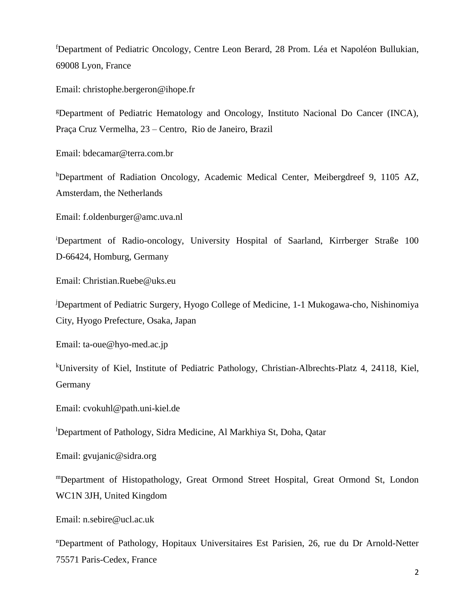<sup>f</sup>Department of Pediatric Oncology, Centre Leon Berard, 28 Prom. Léa et Napoléon Bullukian, 69008 Lyon, France

Email: christophe.bergeron@ihope.fr

<sup>g</sup>Department of Pediatric Hematology and Oncology, Instituto Nacional Do Cancer (INCA), Praça Cruz Vermelha, 23 – Centro, Rio de Janeiro, Brazil

Email: bdecamar@terra.com.br

hDepartment of Radiation Oncology, Academic Medical Center, Meibergdreef 9, 1105 AZ, Amsterdam, the Netherlands

Email: f.oldenburger@amc.uva.nl

<sup>i</sup>Department of Radio-oncology, University Hospital of Saarland, Kirrberger Straße 100 D-66424, Homburg, Germany

Email: Christian.Ruebe@uks.eu

<sup>j</sup>Department of Pediatric Surgery, Hyogo College of Medicine, 1-1 Mukogawa-cho, Nishinomiya City, Hyogo Prefecture, Osaka, Japan

Email: ta-oue@hyo-med.ac.jp

<sup>k</sup>University of Kiel, Institute of Pediatric Pathology, Christian-Albrechts-Platz 4, 24118, Kiel, Germany

Email: cvokuhl@path.uni-kiel.de

<sup>l</sup>Department of Pathology, Sidra Medicine, Al Markhiya St, Doha, Qatar

Email: gvujanic@sidra.org

<sup>m</sup>Department of Histopathology, Great Ormond Street Hospital, Great Ormond St, London WC1N 3JH, United Kingdom

Email: n.sebire@ucl.ac.uk

<sup>n</sup>Department of Pathology, Hopitaux Universitaires Est Parisien, 26, rue du Dr Arnold-Netter 75571 Paris-Cedex*,* France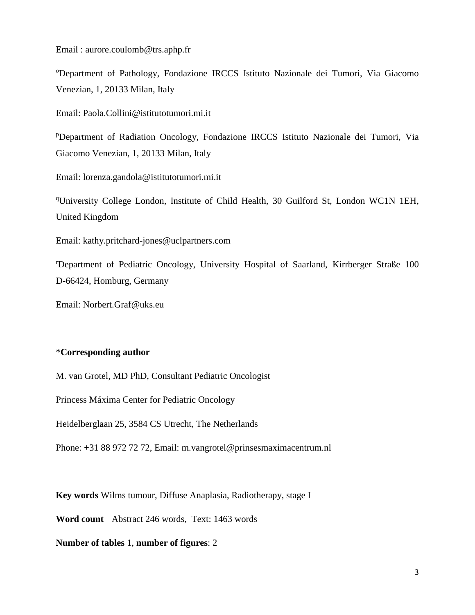Email : aurore.coulomb@trs.aphp.fr

<sup>o</sup>Department of Pathology, Fondazione IRCCS Istituto Nazionale dei Tumori, Via Giacomo Venezian, 1, 20133 Milan, Italy

Email: Paola.Collini@istitutotumori.mi.it

<sup>p</sup>Department of Radiation Oncology, Fondazione IRCCS Istituto Nazionale dei Tumori, Via Giacomo Venezian, 1, 20133 Milan, Italy

Email: lorenza.gandola@istitutotumori.mi.it

<sup>q</sup>University College London, Institute of Child Health, 30 Guilford St, London WC1N 1EH, United Kingdom

Email: kathy.pritchard-jones@uclpartners.com

<sup>r</sup>Department of Pediatric Oncology, University Hospital of Saarland, Kirrberger Straße 100 D-66424, Homburg, Germany

Email: Norbert.Graf@uks.eu

## \***Corresponding author**

M. van Grotel, MD PhD, Consultant Pediatric Oncologist

Princess Máxima Center for Pediatric Oncology

Heidelberglaan 25, 3584 CS Utrecht, The Netherlands

Phone: +31 88 972 72 72, Email: [m.vangrotel@prinsesmaximacentrum.nl](mailto:m.vangrotel@prinsesmaximacentrum.nl)

**Key words** Wilms tumour, Diffuse Anaplasia, Radiotherapy, stage I

**Word count** Abstract 246 words, Text: 1463 words

## **Number of tables** 1, **number of figures**: 2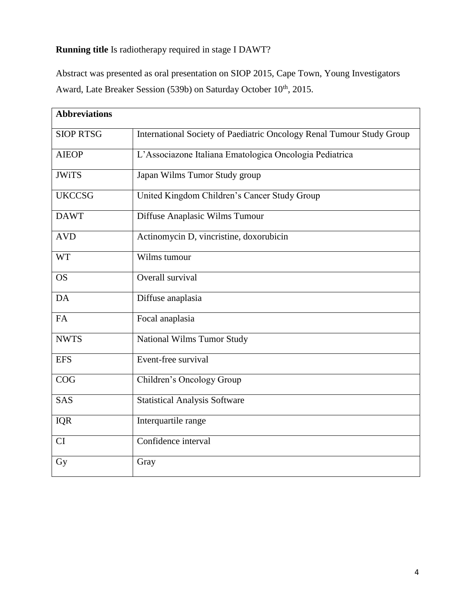## **Running title** Is radiotherapy required in stage I DAWT?

Abstract was presented as oral presentation on SIOP 2015, Cape Town, Young Investigators Award, Late Breaker Session (539b) on Saturday October 10<sup>th</sup>, 2015.

| <b>Abbreviations</b> |                                                                       |
|----------------------|-----------------------------------------------------------------------|
| <b>SIOP RTSG</b>     | International Society of Paediatric Oncology Renal Tumour Study Group |
| <b>AIEOP</b>         | L'Associazone Italiana Ematologica Oncologia Pediatrica               |
| <b>JWiTS</b>         | Japan Wilms Tumor Study group                                         |
| <b>UKCCSG</b>        | United Kingdom Children's Cancer Study Group                          |
| <b>DAWT</b>          | Diffuse Anaplasic Wilms Tumour                                        |
| <b>AVD</b>           | Actinomycin D, vincristine, doxorubicin                               |
| <b>WT</b>            | Wilms tumour                                                          |
| <b>OS</b>            | Overall survival                                                      |
| DA                   | Diffuse anaplasia                                                     |
| FA                   | Focal anaplasia                                                       |
| <b>NWTS</b>          | <b>National Wilms Tumor Study</b>                                     |
| <b>EFS</b>           | Event-free survival                                                   |
| COG                  | Children's Oncology Group                                             |
| SAS                  | <b>Statistical Analysis Software</b>                                  |
| <b>IQR</b>           | Interquartile range                                                   |
| CI                   | Confidence interval                                                   |
| Gy                   | Gray                                                                  |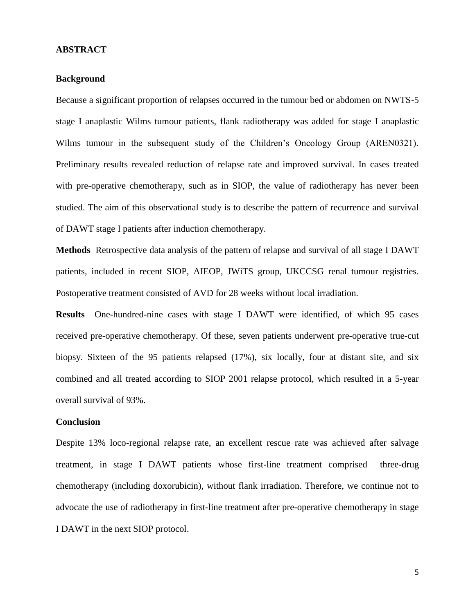## **ABSTRACT**

## **Background**

Because a significant proportion of relapses occurred in the tumour bed or abdomen on NWTS-5 stage I anaplastic Wilms tumour patients, flank radiotherapy was added for stage I anaplastic Wilms tumour in the subsequent study of the Children's Oncology Group (AREN0321). Preliminary results revealed reduction of relapse rate and improved survival. In cases treated with pre-operative chemotherapy, such as in SIOP, the value of radiotherapy has never been studied. The aim of this observational study is to describe the pattern of recurrence and survival of DAWT stage I patients after induction chemotherapy.

**Methods** Retrospective data analysis of the pattern of relapse and survival of all stage I DAWT patients, included in recent SIOP, AIEOP, JWiTS group, UKCCSG renal tumour registries. Postoperative treatment consisted of AVD for 28 weeks without local irradiation.

**Results** One-hundred-nine cases with stage I DAWT were identified, of which 95 cases received pre-operative chemotherapy. Of these, seven patients underwent pre-operative true-cut biopsy. Sixteen of the 95 patients relapsed (17%), six locally, four at distant site, and six combined and all treated according to SIOP 2001 relapse protocol, which resulted in a 5-year overall survival of 93%.

## **Conclusion**

Despite 13% loco-regional relapse rate, an excellent rescue rate was achieved after salvage treatment, in stage I DAWT patients whose first-line treatment comprised three-drug chemotherapy (including doxorubicin), without flank irradiation. Therefore, we continue not to advocate the use of radiotherapy in first-line treatment after pre-operative chemotherapy in stage I DAWT in the next SIOP protocol.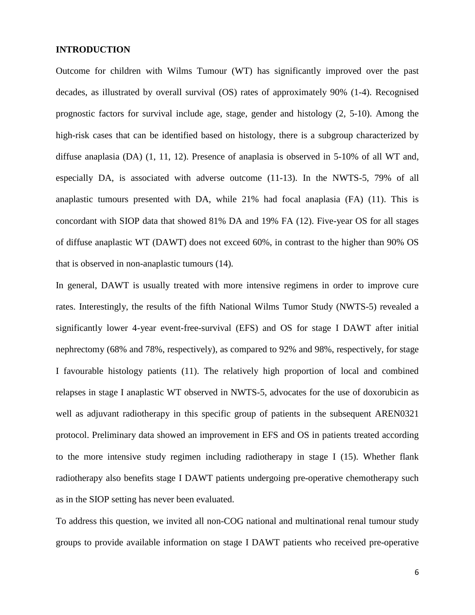## **INTRODUCTION**

Outcome for children with Wilms Tumour (WT) has significantly improved over the past decades, as illustrated by overall survival (OS) rates of approximately 90% (1-4). Recognised prognostic factors for survival include age, stage, gender and histology (2, 5-10). Among the high-risk cases that can be identified based on histology, there is a subgroup characterized by diffuse anaplasia (DA) (1, 11, 12). Presence of anaplasia is observed in 5-10% of all WT and, especially DA, is associated with adverse outcome (11-13). In the NWTS-5, 79% of all anaplastic tumours presented with DA, while 21% had focal anaplasia (FA) (11). This is concordant with SIOP data that showed 81% DA and 19% FA (12). Five-year OS for all stages of diffuse anaplastic WT (DAWT) does not exceed 60%, in contrast to the higher than 90% OS that is observed in non-anaplastic tumours (14).

In general, DAWT is usually treated with more intensive regimens in order to improve cure rates. Interestingly, the results of the fifth National Wilms Tumor Study (NWTS-5) revealed a significantly lower 4-year event-free-survival (EFS) and OS for stage I DAWT after initial nephrectomy (68% and 78%, respectively), as compared to 92% and 98%, respectively, for stage I favourable histology patients (11). The relatively high proportion of local and combined relapses in stage I anaplastic WT observed in NWTS-5, advocates for the use of doxorubicin as well as adjuvant radiotherapy in this specific group of patients in the subsequent AREN0321 protocol. Preliminary data showed an improvement in EFS and OS in patients treated according to the more intensive study regimen including radiotherapy in stage I (15). Whether flank radiotherapy also benefits stage I DAWT patients undergoing pre-operative chemotherapy such as in the SIOP setting has never been evaluated.

To address this question, we invited all non-COG national and multinational renal tumour study groups to provide available information on stage I DAWT patients who received pre-operative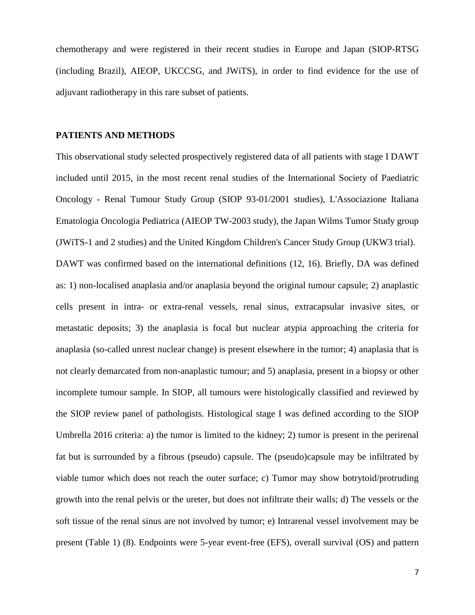chemotherapy and were registered in their recent studies in Europe and Japan (SIOP-RTSG (including Brazil), AIEOP, UKCCSG, and JWiTS), in order to find evidence for the use of adjuvant radiotherapy in this rare subset of patients.

### **PATIENTS AND METHODS**

This observational study selected prospectively registered data of all patients with stage I DAWT included until 2015, in the most recent renal studies of the International Society of Paediatric Oncology - Renal Tumour Study Group (SIOP 93-01/2001 studies), L'Associazione Italiana Ematologia Oncologia Pediatrica (AIEOP TW-2003 study), the Japan Wilms Tumor Study group (JWiTS-1 and 2 studies) and the United Kingdom Children's Cancer Study Group (UKW3 trial). DAWT was confirmed based on the international definitions (12, 16). Briefly, DA was defined as: 1) non-localised anaplasia and/or anaplasia beyond the original tumour capsule; 2) anaplastic cells present in intra- or extra-renal vessels, renal sinus, extracapsular invasive sites, or metastatic deposits; 3) the anaplasia is focal but nuclear atypia approaching the criteria for anaplasia (so-called unrest nuclear change) is present elsewhere in the tumor; 4) anaplasia that is not clearly demarcated from non-anaplastic tumour; and 5) anaplasia, present in a biopsy or other incomplete tumour sample. In SIOP, all tumours were histologically classified and reviewed by the SIOP review panel of pathologists. Histological stage I was defined according to the SIOP Umbrella 2016 criteria: a) the tumor is limited to the kidney; 2) tumor is present in the perirenal fat but is surrounded by a fibrous (pseudo) capsule. The (pseudo)capsule may be infiltrated by viable tumor which does not reach the outer surface; c) Tumor may show botrytoid/protruding growth into the renal pelvis or the ureter, but does not infiltrate their walls; d) The vessels or the soft tissue of the renal sinus are not involved by tumor; e) Intrarenal vessel involvement may be present (Table 1) (8). Endpoints were 5-year event-free (EFS), overall survival (OS) and pattern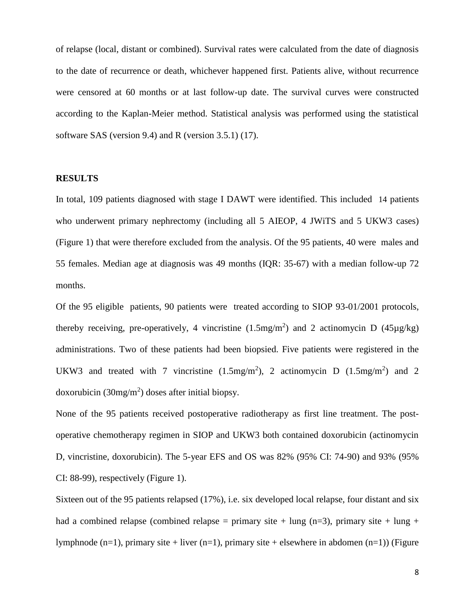of relapse (local, distant or combined). Survival rates were calculated from the date of diagnosis to the date of recurrence or death, whichever happened first. Patients alive, without recurrence were censored at 60 months or at last follow-up date. The survival curves were constructed according to the Kaplan-Meier method. Statistical analysis was performed using the statistical software SAS (version 9.4) and R (version 3.5.1) (17).

## **RESULTS**

In total, 109 patients diagnosed with stage I DAWT were identified. This included 14 patients who underwent primary nephrectomy (including all 5 AIEOP, 4 JWiTS and 5 UKW3 cases) (Figure 1) that were therefore excluded from the analysis. Of the 95 patients, 40 were males and 55 females. Median age at diagnosis was 49 months (IQR: 35-67) with a median follow-up 72 months.

Of the 95 eligible patients, 90 patients were treated according to SIOP 93-01/2001 protocols, thereby receiving, pre-operatively, 4 vincristine  $(1.5mg/m<sup>2</sup>)$  and 2 actinomycin D  $(45\mu g/kg)$ administrations. Two of these patients had been biopsied. Five patients were registered in the UKW3 and treated with 7 vincristine  $(1.5mg/m<sup>2</sup>)$ , 2 actinomycin D  $(1.5mg/m<sup>2</sup>)$  and 2 doxorubicin  $(30mg/m^2)$  doses after initial biopsy.

None of the 95 patients received postoperative radiotherapy as first line treatment. The postoperative chemotherapy regimen in SIOP and UKW3 both contained doxorubicin (actinomycin D, vincristine, doxorubicin). The 5-year EFS and OS was 82% (95% CI: 74-90) and 93% (95% CI: 88-99), respectively (Figure 1).

Sixteen out of the 95 patients relapsed (17%), i.e. six developed local relapse, four distant and six had a combined relapse (combined relapse = primary site + lung (n=3), primary site + lung + lymphnode (n=1), primary site + liver (n=1), primary site + elsewhere in abdomen (n=1)) (Figure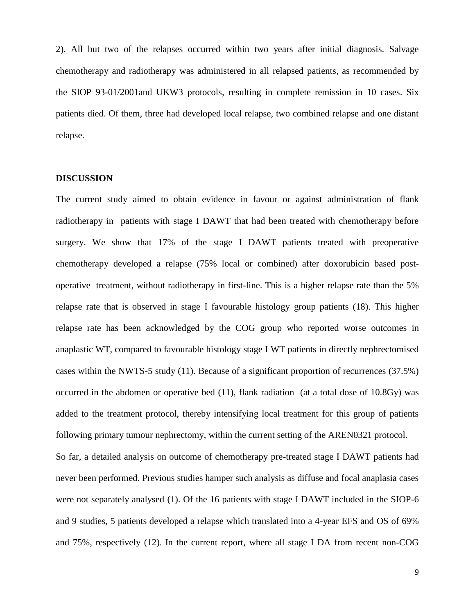2). All but two of the relapses occurred within two years after initial diagnosis. Salvage chemotherapy and radiotherapy was administered in all relapsed patients, as recommended by the SIOP 93-01/2001and UKW3 protocols, resulting in complete remission in 10 cases. Six patients died. Of them, three had developed local relapse, two combined relapse and one distant relapse.

## **DISCUSSION**

The current study aimed to obtain evidence in favour or against administration of flank radiotherapy in patients with stage I DAWT that had been treated with chemotherapy before surgery. We show that 17% of the stage I DAWT patients treated with preoperative chemotherapy developed a relapse (75% local or combined) after doxorubicin based postoperative treatment, without radiotherapy in first-line. This is a higher relapse rate than the 5% relapse rate that is observed in stage I favourable histology group patients (18). This higher relapse rate has been acknowledged by the COG group who reported worse outcomes in anaplastic WT, compared to favourable histology stage I WT patients in directly nephrectomised cases within the NWTS-5 study (11). Because of a significant proportion of recurrences (37.5%) occurred in the abdomen or operative bed (11), flank radiation (at a total dose of 10.8Gy) was added to the treatment protocol, thereby intensifying local treatment for this group of patients following primary tumour nephrectomy, within the current setting of the AREN0321 protocol.

So far, a detailed analysis on outcome of chemotherapy pre-treated stage I DAWT patients had never been performed. Previous studies hamper such analysis as diffuse and focal anaplasia cases were not separately analysed (1). Of the 16 patients with stage I DAWT included in the SIOP-6 and 9 studies, 5 patients developed a relapse which translated into a 4-year EFS and OS of 69% and 75%, respectively (12). In the current report, where all stage I DA from recent non-COG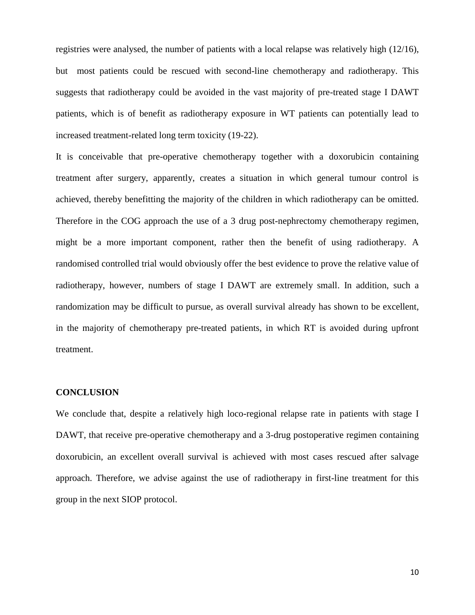registries were analysed, the number of patients with a local relapse was relatively high (12/16), but most patients could be rescued with second-line chemotherapy and radiotherapy. This suggests that radiotherapy could be avoided in the vast majority of pre-treated stage I DAWT patients, which is of benefit as radiotherapy exposure in WT patients can potentially lead to increased treatment-related long term toxicity (19-22).

It is conceivable that pre-operative chemotherapy together with a doxorubicin containing treatment after surgery, apparently, creates a situation in which general tumour control is achieved, thereby benefitting the majority of the children in which radiotherapy can be omitted. Therefore in the COG approach the use of a 3 drug post-nephrectomy chemotherapy regimen, might be a more important component, rather then the benefit of using radiotherapy. A randomised controlled trial would obviously offer the best evidence to prove the relative value of radiotherapy, however, numbers of stage I DAWT are extremely small. In addition, such a randomization may be difficult to pursue, as overall survival already has shown to be excellent, in the majority of chemotherapy pre-treated patients, in which RT is avoided during upfront treatment.

### **CONCLUSION**

We conclude that, despite a relatively high loco-regional relapse rate in patients with stage I DAWT, that receive pre-operative chemotherapy and a 3-drug postoperative regimen containing doxorubicin, an excellent overall survival is achieved with most cases rescued after salvage approach. Therefore, we advise against the use of radiotherapy in first-line treatment for this group in the next SIOP protocol.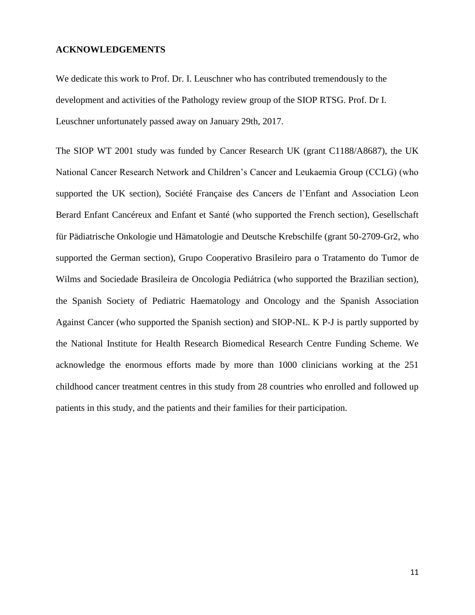## **ACKNOWLEDGEMENTS**

We dedicate this work to Prof. Dr. I. Leuschner who has contributed tremendously to the development and activities of the Pathology review group of the SIOP RTSG. Prof. Dr I. Leuschner unfortunately passed away on January 29th, 2017.

The SIOP WT 2001 study was funded by Cancer Research UK (grant C1188/A8687), the UK National Cancer Research Network and Children's Cancer and Leukaemia Group (CCLG) (who supported the UK section), Société Française des Cancers de l'Enfant and Association Leon Berard Enfant Cancéreux and Enfant et Santé (who supported the French section), Gesellschaft für Pädiatrische Onkologie und Hämatologie and Deutsche Krebschilfe (grant 50-2709-Gr2, who supported the German section), Grupo Cooperativo Brasileiro para o Tratamento do Tumor de Wilms and Sociedade Brasileira de Oncologia Pediátrica (who supported the Brazilian section), the Spanish Society of Pediatric Haematology and Oncology and the Spanish Association Against Cancer (who supported the Spanish section) and SIOP-NL. K P-J is partly supported by the National Institute for Health Research Biomedical Research Centre Funding Scheme. We acknowledge the enormous efforts made by more than 1000 clinicians working at the 251 childhood cancer treatment centres in this study from 28 countries who enrolled and followed up patients in this study, and the patients and their families for their participation.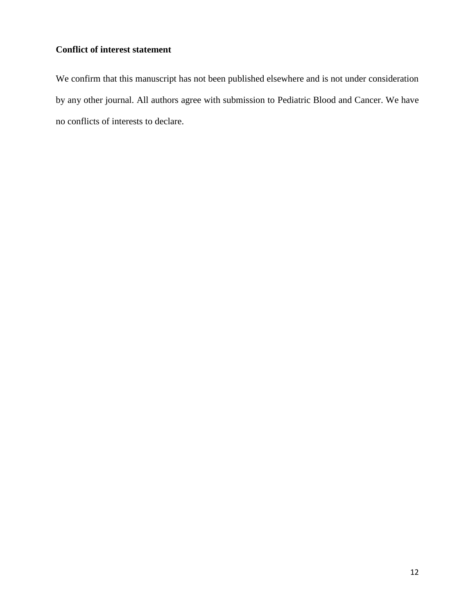## **Conflict of interest statement**

We confirm that this manuscript has not been published elsewhere and is not under consideration by any other journal. All authors agree with submission to Pediatric Blood and Cancer. We have no conflicts of interests to declare.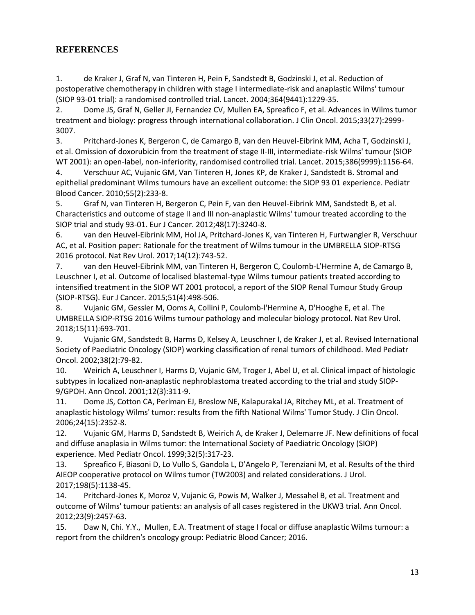## **REFERENCES**

1. de Kraker J, Graf N, van Tinteren H, Pein F, Sandstedt B, Godzinski J, et al. Reduction of postoperative chemotherapy in children with stage I intermediate-risk and anaplastic Wilms' tumour (SIOP 93-01 trial): a randomised controlled trial. Lancet. 2004;364(9441):1229-35.

2. Dome JS, Graf N, Geller JI, Fernandez CV, Mullen EA, Spreafico F, et al. Advances in Wilms tumor treatment and biology: progress through international collaboration. J Clin Oncol. 2015;33(27):2999- 3007.

3. Pritchard-Jones K, Bergeron C, de Camargo B, van den Heuvel-Eibrink MM, Acha T, Godzinski J, et al. Omission of doxorubicin from the treatment of stage II-III, intermediate-risk Wilms' tumour (SIOP WT 2001): an open-label, non-inferiority, randomised controlled trial. Lancet. 2015;386(9999):1156-64.

4. Verschuur AC, Vujanic GM, Van Tinteren H, Jones KP, de Kraker J, Sandstedt B. Stromal and epithelial predominant Wilms tumours have an excellent outcome: the SIOP 93 01 experience. Pediatr Blood Cancer. 2010;55(2):233-8.

5. Graf N, van Tinteren H, Bergeron C, Pein F, van den Heuvel-Eibrink MM, Sandstedt B, et al. Characteristics and outcome of stage II and III non-anaplastic Wilms' tumour treated according to the SIOP trial and study 93-01. Eur J Cancer. 2012;48(17):3240-8.

6. van den Heuvel-Eibrink MM, Hol JA, Pritchard-Jones K, van Tinteren H, Furtwangler R, Verschuur AC, et al. Position paper: Rationale for the treatment of Wilms tumour in the UMBRELLA SIOP-RTSG 2016 protocol. Nat Rev Urol. 2017;14(12):743-52.

7. van den Heuvel-Eibrink MM, van Tinteren H, Bergeron C, Coulomb-L'Hermine A, de Camargo B, Leuschner I, et al. Outcome of localised blastemal-type Wilms tumour patients treated according to intensified treatment in the SIOP WT 2001 protocol, a report of the SIOP Renal Tumour Study Group (SIOP-RTSG). Eur J Cancer. 2015;51(4):498-506.

8. Vujanic GM, Gessler M, Ooms A, Collini P, Coulomb-l'Hermine A, D'Hooghe E, et al. The UMBRELLA SIOP-RTSG 2016 Wilms tumour pathology and molecular biology protocol. Nat Rev Urol. 2018;15(11):693-701.

9. Vujanic GM, Sandstedt B, Harms D, Kelsey A, Leuschner I, de Kraker J, et al. Revised International Society of Paediatric Oncology (SIOP) working classification of renal tumors of childhood. Med Pediatr Oncol. 2002;38(2):79-82.

10. Weirich A, Leuschner I, Harms D, Vujanic GM, Troger J, Abel U, et al. Clinical impact of histologic subtypes in localized non-anaplastic nephroblastoma treated according to the trial and study SIOP-9/GPOH. Ann Oncol. 2001;12(3):311-9.

11. Dome JS, Cotton CA, Perlman EJ, Breslow NE, Kalapurakal JA, Ritchey ML, et al. Treatment of anaplastic histology Wilms' tumor: results from the fifth National Wilms' Tumor Study. J Clin Oncol. 2006;24(15):2352-8.

12. Vujanic GM, Harms D, Sandstedt B, Weirich A, de Kraker J, Delemarre JF. New definitions of focal and diffuse anaplasia in Wilms tumor: the International Society of Paediatric Oncology (SIOP) experience. Med Pediatr Oncol. 1999;32(5):317-23.

13. Spreafico F, Biasoni D, Lo Vullo S, Gandola L, D'Angelo P, Terenziani M, et al. Results of the third AIEOP cooperative protocol on Wilms tumor (TW2003) and related considerations. J Urol. 2017;198(5):1138-45.

14. Pritchard-Jones K, Moroz V, Vujanic G, Powis M, Walker J, Messahel B, et al. Treatment and outcome of Wilms' tumour patients: an analysis of all cases registered in the UKW3 trial. Ann Oncol. 2012;23(9):2457-63.

15. Daw N, Chi. Y.Y., Mullen, E.A. Treatment of stage I focal or diffuse anaplastic Wilms tumour: a report from the children's oncology group: Pediatric Blood Cancer; 2016.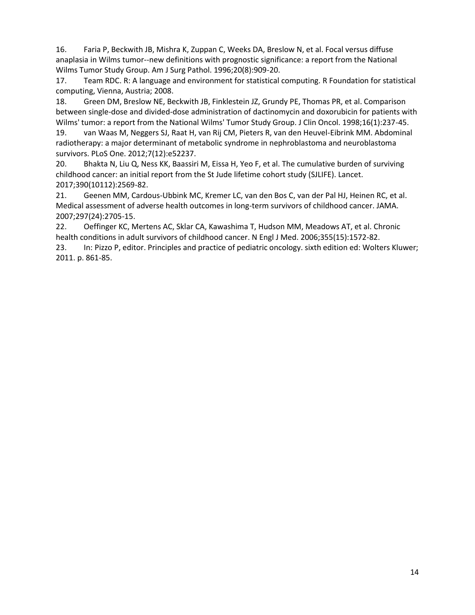16. Faria P, Beckwith JB, Mishra K, Zuppan C, Weeks DA, Breslow N, et al. Focal versus diffuse anaplasia in Wilms tumor--new definitions with prognostic significance: a report from the National Wilms Tumor Study Group. Am J Surg Pathol. 1996;20(8):909-20.

17. Team RDC. R: A language and environment for statistical computing. R Foundation for statistical computing, Vienna, Austria; 2008.

18. Green DM, Breslow NE, Beckwith JB, Finklestein JZ, Grundy PE, Thomas PR, et al. Comparison between single-dose and divided-dose administration of dactinomycin and doxorubicin for patients with Wilms' tumor: a report from the National Wilms' Tumor Study Group. J Clin Oncol. 1998;16(1):237-45.

19. van Waas M, Neggers SJ, Raat H, van Rij CM, Pieters R, van den Heuvel-Eibrink MM. Abdominal radiotherapy: a major determinant of metabolic syndrome in nephroblastoma and neuroblastoma survivors. PLoS One. 2012;7(12):e52237.

20. Bhakta N, Liu Q, Ness KK, Baassiri M, Eissa H, Yeo F, et al. The cumulative burden of surviving childhood cancer: an initial report from the St Jude lifetime cohort study (SJLIFE). Lancet. 2017;390(10112):2569-82.

21. Geenen MM, Cardous-Ubbink MC, Kremer LC, van den Bos C, van der Pal HJ, Heinen RC, et al. Medical assessment of adverse health outcomes in long-term survivors of childhood cancer. JAMA. 2007;297(24):2705-15.

22. Oeffinger KC, Mertens AC, Sklar CA, Kawashima T, Hudson MM, Meadows AT, et al. Chronic health conditions in adult survivors of childhood cancer. N Engl J Med. 2006;355(15):1572-82.

23. In: Pizzo P, editor. Principles and practice of pediatric oncology. sixth edition ed: Wolters Kluwer; 2011. p. 861-85.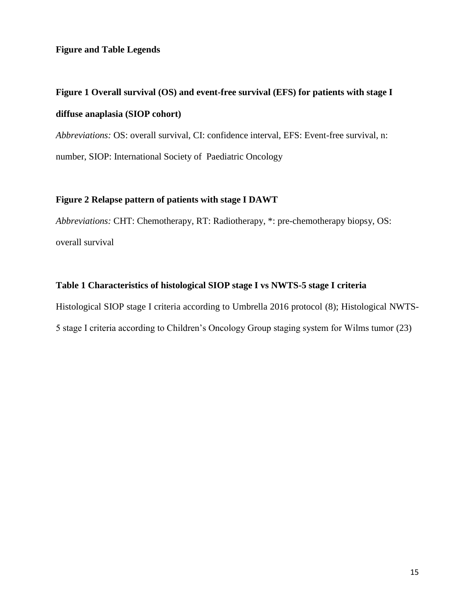## **Figure and Table Legends**

# **Figure 1 Overall survival (OS) and event-free survival (EFS) for patients with stage I diffuse anaplasia (SIOP cohort)**

*Abbreviations:* OS: overall survival, CI: confidence interval, EFS: Event-free survival, n: number, SIOP: International Society of Paediatric Oncology

## **Figure 2 Relapse pattern of patients with stage I DAWT**

*Abbreviations:* CHT: Chemotherapy, RT: Radiotherapy, \*: pre-chemotherapy biopsy, OS: overall survival

## **Table 1 Characteristics of histological SIOP stage I vs NWTS-5 stage I criteria**

Histological SIOP stage I criteria according to Umbrella 2016 protocol (8); Histological NWTS-5 stage I criteria according to Children's Oncology Group staging system for Wilms tumor (23)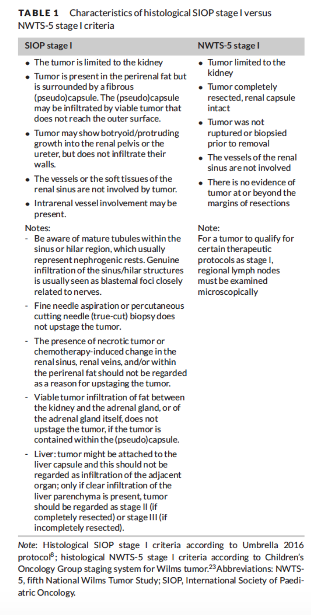#### Characteristics of histological SIOP stage I versus **TABLE 1** NWTS-5 stage I criteria

#### **SIOP stage I**

- The tumor is limited to the kidney
- Tumor is present in the perirenal fat but is surrounded by a fibrous (pseudo)capsule. The (pseudo)capsule may be infiltrated by viable tumor that does not reach the outer surface.
- Tumor may show botryoid/protruding growth into the renal pelvis or the ureter, but does not infiltrate their walls.
- The vessels or the soft tissues of the renal sinus are not involved by tumor.
- Intrarenal vessel involvement may be present.

### Notes:

- Be aware of mature tubules within the sinus or hilar region, which usually represent nephrogenic rests. Genuine infiltration of the sinus/hilar structures is usually seen as blastemal foci closely related to nerves.
- Fine needle aspiration or percutaneous cutting needle (true-cut) biopsy does not upstage the tumor.
- The presence of necrotic tumor or chemotherapy-induced change in the renal sinus, renal veins, and/or within the perirenal fat should not be regarded as a reason for upstaging the tumor.
- Viable tumor infiltration of fat between the kidney and the adrenal gland, or of the adrenal gland itself, does not upstage the tumor, if the tumor is contained within the (pseudo)capsule.
- Liver: tumor might be attached to the liver capsule and this should not be regarded as infiltration of the adjacent organ: only if clear infiltration of the liver parenchyma is present, tumor should be regarded as stage II (if completely resected) or stage III (if incompletely resected).

### **NWTS-5 stage I**

- Tumor limited to the kidnev
- Tumor completely resected, renal capsule intact
- $\bullet$  Tumor was not ruptured or biopsied prior to removal
- The vessels of the renal sinus are not involved
- There is no evidence of tumor at or beyond the margins of resections

### Note:

For a tumor to qualify for certain therapeutic protocols as stage I. regional lymph nodes must be examined microscopically

Note: Histological SIOP stage I criteria according to Umbrella 2016 protocol<sup>8</sup>; histological NWTS-5 stage I criteria according to Children's Oncology Group staging system for Wilms tumor.<sup>23</sup>Abbreviations: NWTS-5, fifth National Wilms Tumor Study; SIOP, International Society of Paediatric Oncology.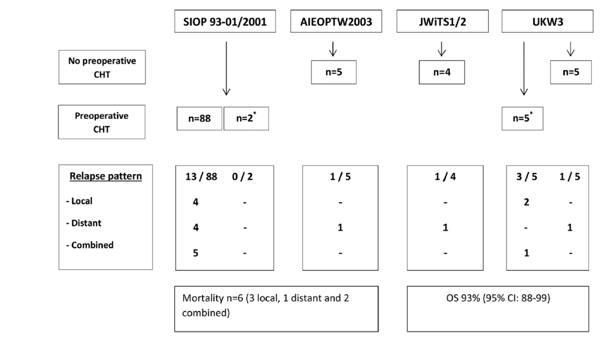

Mortality n=6 (3 local, 1 distant and 2 combined)

OS 93% (95% CI: 88-99)